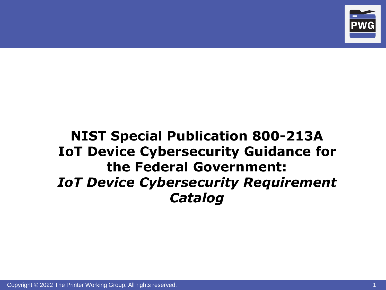

# **NIST Special Publication 800-213A IoT Device Cybersecurity Guidance for the Federal Government:** *IoT Device Cybersecurity Requirement Catalog*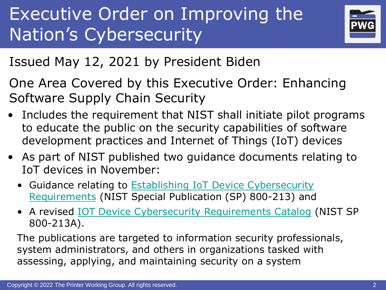# Executive Order on Improving the Nation's Cybersecurity



Issued May 12, 2021 by President Biden

One Area Covered by this Executive Order: Enhancing Software Supply Chain Security

- Includes the requirement that NIST shall initiate pilot programs to educate the public on the security capabilities of software development practices and Internet of Things (IoT) devices
- As part of NIST published two guidance documents relating to IoT devices in November:
	- [Guidance relating to Establishing IoT Device Cybersecurity](https://nvlpubs.nist.gov/nistpubs/SpecialPublications/NIST.SP.800-213.pdf)  Requirements (NIST Special Publication (SP) 800-213) and
	- A revised [IOT Device Cybersecurity Requirements Catalog](https://nvlpubs.nist.gov/nistpubs/SpecialPublications/NIST.SP.800-213A.pdf) (NIST SP 800-213A).

The publications are targeted to information security professionals, system administrators, and others in organizations tasked with assessing, applying, and maintaining security on a system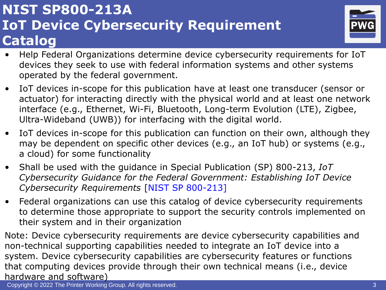# **NIST SP800-213A IoT Device Cybersecurity Requirement Catalog**



- Help Federal Organizations determine device cybersecurity requirements for IoT devices they seek to use with federal information systems and other systems operated by the federal government.
- IoT devices in-scope for this publication have at least one transducer (sensor or actuator) for interacting directly with the physical world and at least one network interface (e.g., Ethernet, Wi-Fi, Bluetooth, Long-term Evolution (LTE), Zigbee, Ultra-Wideband (UWB)) for interfacing with the digital world.
- IoT devices in-scope for this publication can function on their own, although they may be dependent on specific other devices (e.g., an IoT hub) or systems (e.g., a cloud) for some functionality
- Shall be used with the guidance in Special Publication (SP) 800-213, *IoT Cybersecurity Guidance for the Federal Government: Establishing IoT Device Cybersecurity Requirements* [NIST SP 800-213]
- Federal organizations can use this catalog of device cybersecurity requirements to determine those appropriate to support the security controls implemented on their system and in their organization

Note: Device cybersecurity requirements are device cybersecurity capabilities and non-technical supporting capabilities needed to integrate an IoT device into a system. Device cybersecurity capabilities are cybersecurity features or functions that computing devices provide through their own technical means (i.e., device hardware and software)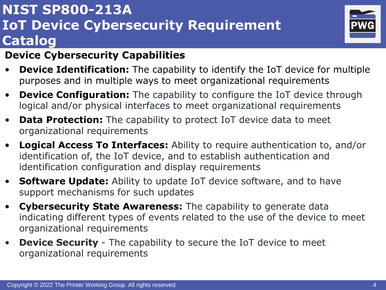# **NIST SP800-213A IoT Device Cybersecurity Requirement Catalog**



#### **Device Cybersecurity Capabilities**

- **Device Identification:** The capability to identify the IoT device for multiple purposes and in multiple ways to meet organizational requirements
- **Device Configuration:** The capability to configure the IoT device through logical and/or physical interfaces to meet organizational requirements
- **Data Protection:** The capability to protect IoT device data to meet organizational requirements
- **Logical Access To Interfaces:** Ability to require authentication to, and/or identification of, the IoT device, and to establish authentication and identification configuration and display requirements
- **Software Update:** Ability to update IoT device software, and to have support mechanisms for such updates
- **Cybersecurity State Awareness:** The capability to generate data indicating different types of events related to the use of the device to meet organizational requirements
- **Device Security** The capability to secure the IoT device to meet organizational requirements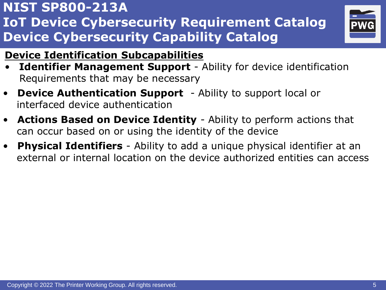

### **Device Identification Subcapabilities**

- **Identifier Management Support** Ability for device identification Requirements that may be necessary
- **Device Authentication Support** Ability to support local or interfaced device authentication
- **Actions Based on Device Identity** Ability to perform actions that can occur based on or using the identity of the device
- **Physical Identifiers** Ability to add a unique physical identifier at an external or internal location on the device authorized entities can access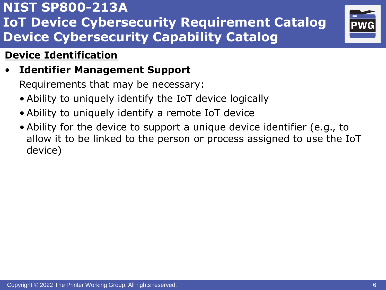

### **Device Identification**

• **Identifier Management Support**

- Ability to uniquely identify the IoT device logically
- Ability to uniquely identify a remote IoT device
- Ability for the device to support a unique device identifier (e.g., to allow it to be linked to the person or process assigned to use the IoT device)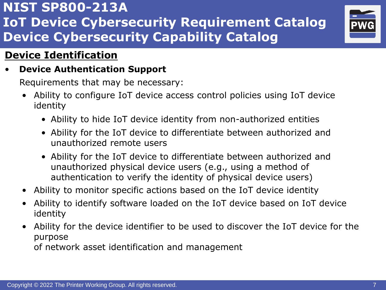

### **Device Identification**

• **Device Authentication Support**

Requirements that may be necessary:

- Ability to configure IoT device access control policies using IoT device identity
	- Ability to hide IoT device identity from non-authorized entities
	- Ability for the IoT device to differentiate between authorized and unauthorized remote users
	- Ability for the IoT device to differentiate between authorized and unauthorized physical device users (e.g., using a method of authentication to verify the identity of physical device users)
- Ability to monitor specific actions based on the IoT device identity
- Ability to identify software loaded on the IoT device based on IoT device identity
- Ability for the device identifier to be used to discover the IoT device for the purpose

of network asset identification and management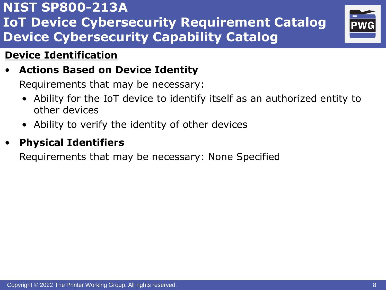

### **Device Identification**

### • **Actions Based on Device Identity**

Requirements that may be necessary:

- Ability for the IoT device to identify itself as an authorized entity to other devices
- Ability to verify the identity of other devices

### • **Physical Identifiers**

Requirements that may be necessary: None Specified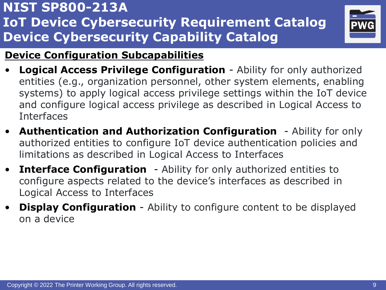

### **Device Configuration Subcapabilities**

- **Logical Access Privilege Configuration** Ability for only authorized entities (e.g., organization personnel, other system elements, enabling systems) to apply logical access privilege settings within the IoT device and configure logical access privilege as described in Logical Access to Interfaces
- **Authentication and Authorization Configuration** Ability for only authorized entities to configure IoT device authentication policies and limitations as described in Logical Access to Interfaces
- **Interface Configuration** Ability for only authorized entities to configure aspects related to the device's interfaces as described in Logical Access to Interfaces
- **Display Configuration** Ability to configure content to be displayed on a device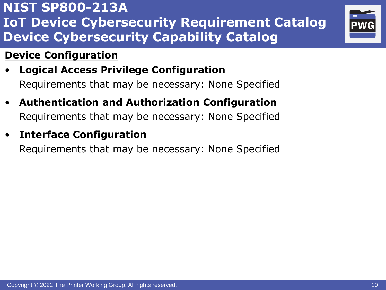### **Device Configuration**

- **Logical Access Privilege Configuration** Requirements that may be necessary: None Specified
- **Authentication and Authorization Configuration** Requirements that may be necessary: None Specified
- **Interface Configuration**

Requirements that may be necessary: None Specified

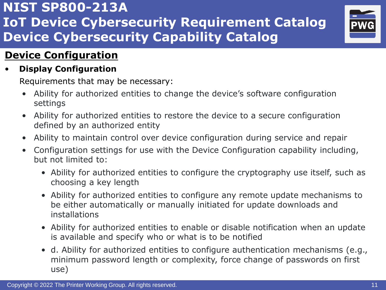

### **Device Configuration**

#### • **Display Configuration**

- Ability for authorized entities to change the device's software configuration settings
- Ability for authorized entities to restore the device to a secure configuration defined by an authorized entity
- Ability to maintain control over device configuration during service and repair
- Configuration settings for use with the Device Configuration capability including, but not limited to:
	- Ability for authorized entities to configure the cryptography use itself, such as choosing a key length
	- Ability for authorized entities to configure any remote update mechanisms to be either automatically or manually initiated for update downloads and installations
	- Ability for authorized entities to enable or disable notification when an update is available and specify who or what is to be notified
	- d. Ability for authorized entities to configure authentication mechanisms (e.g., minimum password length or complexity, force change of passwords on first use)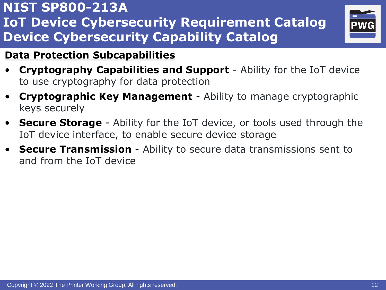

### **Data Protection Subcapabilities**

- **Cryptography Capabilities and Support** Ability for the IoT device to use cryptography for data protection
- **Cryptographic Key Management** Ability to manage cryptographic keys securely
- **Secure Storage** Ability for the IoT device, or tools used through the IoT device interface, to enable secure device storage
- **Secure Transmission** Ability to secure data transmissions sent to and from the IoT device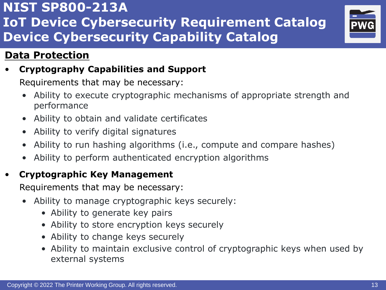

### **Data Protection**

• **Cryptography Capabilities and Support**

Requirements that may be necessary:

- Ability to execute cryptographic mechanisms of appropriate strength and performance
- Ability to obtain and validate certificates
- Ability to verify digital signatures
- Ability to run hashing algorithms (i.e., compute and compare hashes)
- Ability to perform authenticated encryption algorithms

### • **Cryptographic Key Management**

- Ability to manage cryptographic keys securely:
	- Ability to generate key pairs
	- Ability to store encryption keys securely
	- Ability to change keys securely
	- Ability to maintain exclusive control of cryptographic keys when used by external systems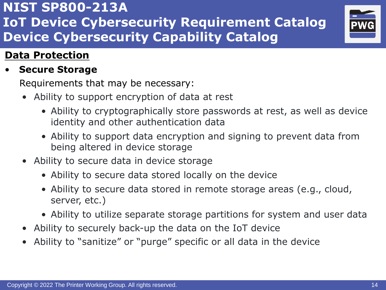# Requirements that may be necessary: • Ability to support encryption of data at rest

- Ability to cryptographically store passwords at rest, as well as device identity and other authentication data
- Ability to support data encryption and signing to prevent data from being altered in device storage
- Ability to secure data in device storage
	- Ability to secure data stored locally on the device
	- Ability to secure data stored in remote storage areas (e.g., cloud, server, etc.)
	- Ability to utilize separate storage partitions for system and user data
- Ability to securely back-up the data on the IoT device
- Ability to "sanitize" or "purge" specific or all data in the device



# **NIST SP800-213A IoT Device Cybersecurity Requirement Catalog Device Cybersecurity Capability Catalog**

# **Data Protection**

### • **Secure Storage**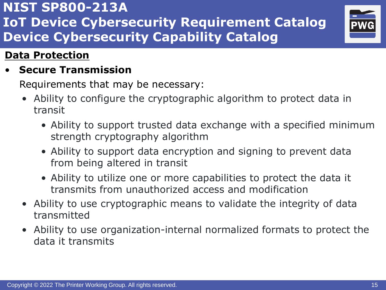

### **Data Protection**

• **Secure Transmission**

- Ability to configure the cryptographic algorithm to protect data in transit
	- Ability to support trusted data exchange with a specified minimum strength cryptography algorithm
	- Ability to support data encryption and signing to prevent data from being altered in transit
	- Ability to utilize one or more capabilities to protect the data it transmits from unauthorized access and modification
- Ability to use cryptographic means to validate the integrity of data transmitted
- Ability to use organization-internal normalized formats to protect the data it transmits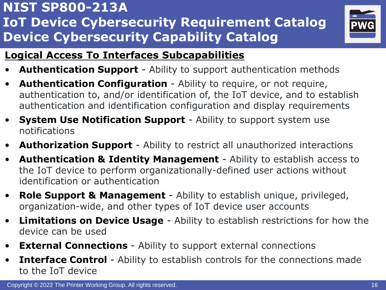

### **Logical Access To Interfaces Subcapabilities**

- **Authentication Support** Ability to support authentication methods
- **Authentication Configuration** Ability to require, or not require, authentication to, and/or identification of, the IoT device, and to establish authentication and identification configuration and display requirements
- **System Use Notification Support** Ability to support system use notifications
- **Authorization Support** Ability to restrict all unauthorized interactions
- **Authentication & Identity Management** Ability to establish access to the IoT device to perform organizationally-defined user actions without identification or authentication
- **Role Support & Management** Ability to establish unique, privileged, organization-wide, and other types of IoT device user accounts
- **Limitations on Device Usage** Ability to establish restrictions for how the device can be used
- **External Connections** Ability to support external connections
- **Interface Control** Ability to establish controls for the connections made to the IoT device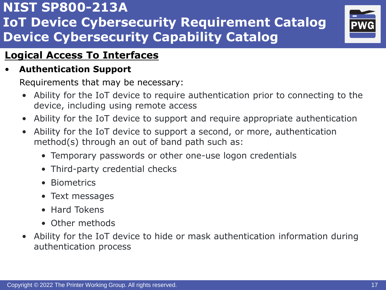

### **Logical Access To Interfaces**

### • **Authentication Support**

- Ability for the IoT device to require authentication prior to connecting to the device, including using remote access
- Ability for the IoT device to support and require appropriate authentication
- Ability for the IoT device to support a second, or more, authentication method(s) through an out of band path such as:
	- Temporary passwords or other one-use logon credentials
	- Third-party credential checks
	- Biometrics
	- Text messages
	- Hard Tokens
	- Other methods
- Ability for the IoT device to hide or mask authentication information during authentication process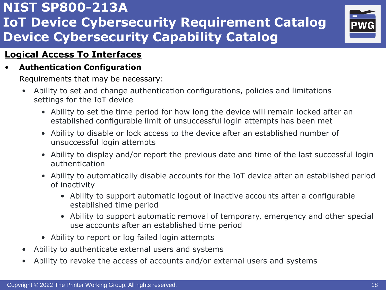

#### **Logical Access To Interfaces**

#### • **Authentication Configuration**

- Ability to set and change authentication configurations, policies and limitations settings for the IoT device
	- Ability to set the time period for how long the device will remain locked after an established configurable limit of unsuccessful login attempts has been met
	- Ability to disable or lock access to the device after an established number of unsuccessful login attempts
	- Ability to display and/or report the previous date and time of the last successful login authentication
	- Ability to automatically disable accounts for the IoT device after an established period of inactivity
		- Ability to support automatic logout of inactive accounts after a configurable established time period
		- Ability to support automatic removal of temporary, emergency and other special use accounts after an established time period
	- Ability to report or log failed login attempts
- Ability to authenticate external users and systems
- Ability to revoke the access of accounts and/or external users and systems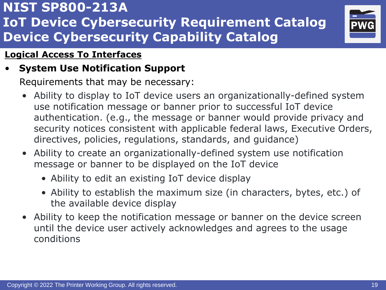

#### **Logical Access To Interfaces**

### • **System Use Notification Support**

- Ability to display to IoT device users an organizationally-defined system use notification message or banner prior to successful IoT device authentication. (e.g., the message or banner would provide privacy and security notices consistent with applicable federal laws, Executive Orders, directives, policies, regulations, standards, and guidance)
- Ability to create an organizationally-defined system use notification message or banner to be displayed on the IoT device
	- Ability to edit an existing IoT device display
	- Ability to establish the maximum size (in characters, bytes, etc.) of the available device display
- Ability to keep the notification message or banner on the device screen until the device user actively acknowledges and agrees to the usage conditions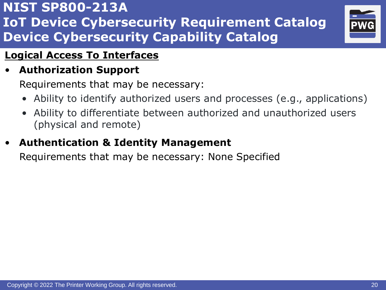

### **Logical Access To Interfaces**

### • **Authorization Support**

Requirements that may be necessary:

- Ability to identify authorized users and processes (e.g., applications)
- Ability to differentiate between authorized and unauthorized users (physical and remote)

### • **Authentication & Identity Management**

Requirements that may be necessary: None Specified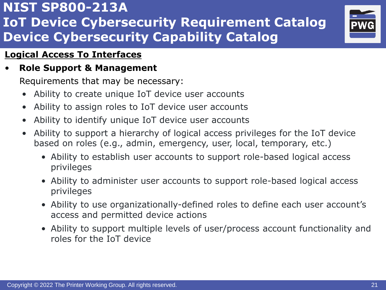

#### **Logical Access To Interfaces**

### • **Role Support & Management**

- Ability to create unique IoT device user accounts
- Ability to assign roles to IoT device user accounts
- Ability to identify unique IoT device user accounts
- Ability to support a hierarchy of logical access privileges for the IoT device based on roles (e.g., admin, emergency, user, local, temporary, etc.)
	- Ability to establish user accounts to support role-based logical access privileges
	- Ability to administer user accounts to support role-based logical access privileges
	- Ability to use organizationally-defined roles to define each user account's access and permitted device actions
	- Ability to support multiple levels of user/process account functionality and roles for the IoT device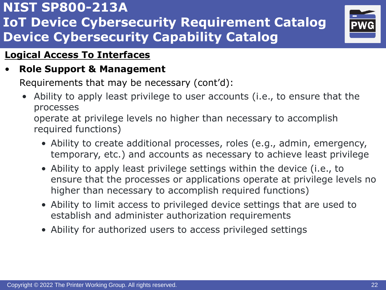

#### **Logical Access To Interfaces**

### • **Role Support & Management**

Requirements that may be necessary (cont'd):

• Ability to apply least privilege to user accounts (i.e., to ensure that the processes

operate at privilege levels no higher than necessary to accomplish required functions)

- Ability to create additional processes, roles (e.g., admin, emergency, temporary, etc.) and accounts as necessary to achieve least privilege
- Ability to apply least privilege settings within the device (i.e., to ensure that the processes or applications operate at privilege levels no higher than necessary to accomplish required functions)
- Ability to limit access to privileged device settings that are used to establish and administer authorization requirements
- Ability for authorized users to access privileged settings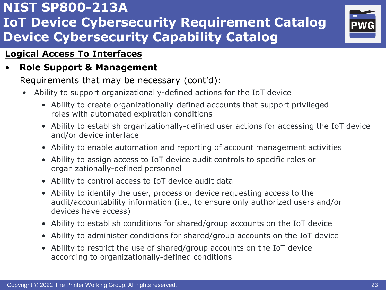

#### **Logical Access To Interfaces**

#### • **Role Support & Management**

Requirements that may be necessary (cont'd):

- Ability to support organizationally-defined actions for the IoT device
	- Ability to create organizationally-defined accounts that support privileged roles with automated expiration conditions
	- Ability to establish organizationally-defined user actions for accessing the IoT device and/or device interface
	- Ability to enable automation and reporting of account management activities
	- Ability to assign access to IoT device audit controls to specific roles or organizationally-defined personnel
	- Ability to control access to IoT device audit data
	- Ability to identify the user, process or device requesting access to the audit/accountability information (i.e., to ensure only authorized users and/or devices have access)
	- Ability to establish conditions for shared/group accounts on the IoT device
	- Ability to administer conditions for shared/group accounts on the IoT device
	- Ability to restrict the use of shared/group accounts on the IoT device according to organizationally-defined conditions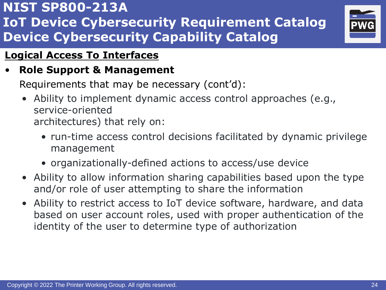

### **Logical Access To Interfaces**

### • **Role Support & Management**

Requirements that may be necessary (cont'd):

- Ability to implement dynamic access control approaches (e.g., service-oriented architectures) that rely on:
	- run-time access control decisions facilitated by dynamic privilege management
	- organizationally-defined actions to access/use device
- Ability to allow information sharing capabilities based upon the type and/or role of user attempting to share the information
- Ability to restrict access to IoT device software, hardware, and data based on user account roles, used with proper authentication of the identity of the user to determine type of authorization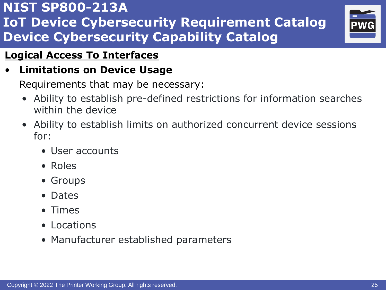

### **Logical Access To Interfaces**

### • **Limitations on Device Usage**

- Ability to establish pre-defined restrictions for information searches within the device
- Ability to establish limits on authorized concurrent device sessions for:
	- User accounts
	- Roles
	- Groups
	- Dates
	- Times
	- Locations
	- Manufacturer established parameters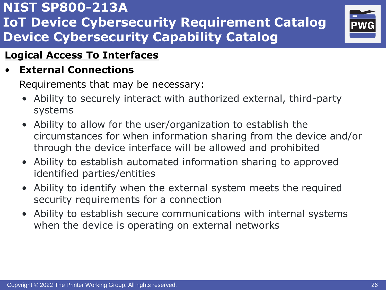

### **Logical Access To Interfaces**

• **External Connections**

- Ability to securely interact with authorized external, third-party systems
- Ability to allow for the user/organization to establish the circumstances for when information sharing from the device and/or through the device interface will be allowed and prohibited
- Ability to establish automated information sharing to approved identified parties/entities
- Ability to identify when the external system meets the required security requirements for a connection
- Ability to establish secure communications with internal systems when the device is operating on external networks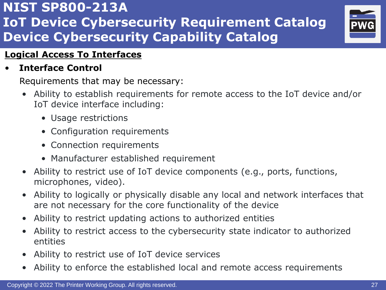

#### **Logical Access To Interfaces**

#### • **Interface Control**

- Ability to establish requirements for remote access to the IoT device and/or IoT device interface including:
	- Usage restrictions
	- Configuration requirements
	- Connection requirements
	- Manufacturer established requirement
- Ability to restrict use of IoT device components (e.g., ports, functions, microphones, video).
- Ability to logically or physically disable any local and network interfaces that are not necessary for the core functionality of the device
- Ability to restrict updating actions to authorized entities
- Ability to restrict access to the cybersecurity state indicator to authorized entities
- Ability to restrict use of IoT device services
- Ability to enforce the established local and remote access requirements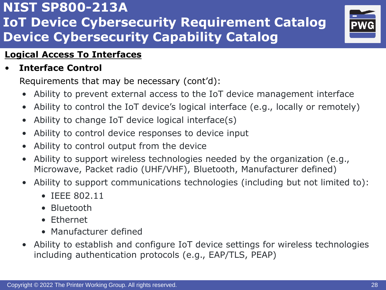

#### **Logical Access To Interfaces**

#### • **Interface Control**

Requirements that may be necessary (cont'd):

- Ability to prevent external access to the IoT device management interface
- Ability to control the IoT device's logical interface (e.g., locally or remotely)
- Ability to change IoT device logical interface(s)
- Ability to control device responses to device input
- Ability to control output from the device
- Ability to support wireless technologies needed by the organization (e.g., Microwave, Packet radio (UHF/VHF), Bluetooth, Manufacturer defined)
- Ability to support communications technologies (including but not limited to):
	- IEEE 802.11
	- Bluetooth
	- Ethernet
	- Manufacturer defined
- Ability to establish and configure IoT device settings for wireless technologies including authentication protocols (e.g., EAP/TLS, PEAP)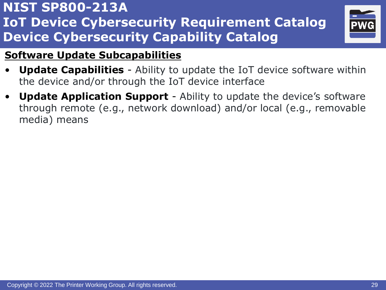

### **Software Update Subcapabilities**

- **Update Capabilities** Ability to update the IoT device software within the device and/or through the IoT device interface
- **Update Application Support** Ability to update the device's software through remote (e.g., network download) and/or local (e.g., removable media) means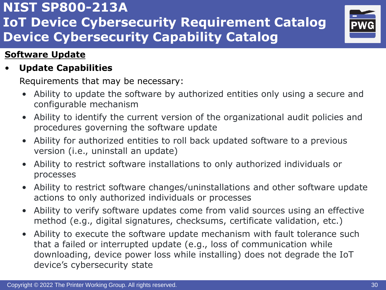

#### **Software Update**

#### • **Update Capabilities**

- Ability to update the software by authorized entities only using a secure and configurable mechanism
- Ability to identify the current version of the organizational audit policies and procedures governing the software update
- Ability for authorized entities to roll back updated software to a previous version (i.e., uninstall an update)
- Ability to restrict software installations to only authorized individuals or processes
- Ability to restrict software changes/uninstallations and other software update actions to only authorized individuals or processes
- Ability to verify software updates come from valid sources using an effective method (e.g., digital signatures, checksums, certificate validation, etc.)
- Ability to execute the software update mechanism with fault tolerance such that a failed or interrupted update (e.g., loss of communication while downloading, device power loss while installing) does not degrade the IoT device's cybersecurity state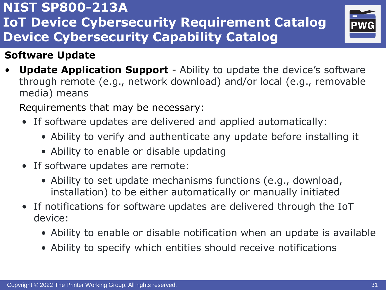### **Software Update**

**Update Application Support** - Ability to update the device's software through remote (e.g., network download) and/or local (e.g., removable media) means

- If software updates are delivered and applied automatically:
	- Ability to verify and authenticate any update before installing it
	- Ability to enable or disable updating
- If software updates are remote:
	- Ability to set update mechanisms functions (e.g., download, installation) to be either automatically or manually initiated
- If notifications for software updates are delivered through the IoT device:
	- Ability to enable or disable notification when an update is available
	- Ability to specify which entities should receive notifications

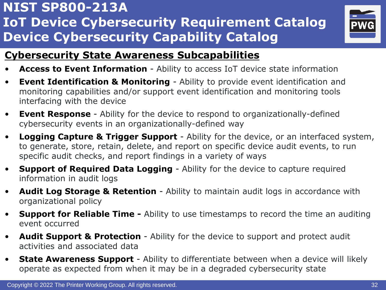

#### **Cybersecurity State Awareness Subcapabilities**

- **Access to Event Information** Ability to access IoT device state information
- **Event Identification & Monitoring** Ability to provide event identification and monitoring capabilities and/or support event identification and monitoring tools interfacing with the device
- **Event Response** Ability for the device to respond to organizationally-defined cybersecurity events in an organizationally-defined way
- **Logging Capture & Trigger Support** Ability for the device, or an interfaced system, to generate, store, retain, delete, and report on specific device audit events, to run specific audit checks, and report findings in a variety of ways
- **Support of Required Data Logging** Ability for the device to capture required information in audit logs
- **Audit Log Storage & Retention** Ability to maintain audit logs in accordance with organizational policy
- **Support for Reliable Time -** Ability to use timestamps to record the time an auditing event occurred
- **Audit Support & Protection**  Ability for the device to support and protect audit activities and associated data
- **State Awareness Support** Ability to differentiate between when a device will likely operate as expected from when it may be in a degraded cybersecurity state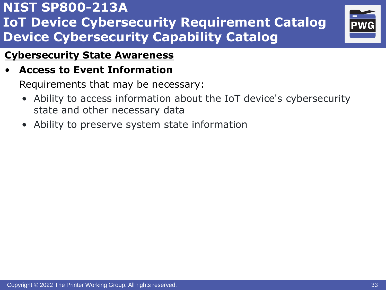

#### **Cybersecurity State Awareness**

#### • **Access to Event Information**

- Ability to access information about the IoT device's cybersecurity state and other necessary data
- Ability to preserve system state information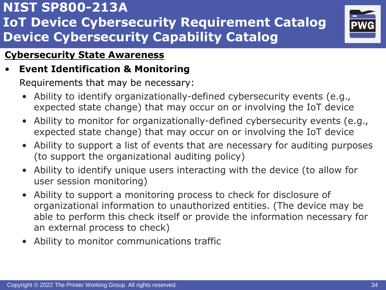

#### **Cybersecurity State Awareness**

### • **Event Identification & Monitoring**

- Ability to identify organizationally-defined cybersecurity events (e.g., expected state change) that may occur on or involving the IoT device
- Ability to monitor for organizationally-defined cybersecurity events (e.g., expected state change) that may occur on or involving the IoT device
- Ability to support a list of events that are necessary for auditing purposes (to support the organizational auditing policy)
- Ability to identify unique users interacting with the device (to allow for user session monitoring)
- Ability to support a monitoring process to check for disclosure of organizational information to unauthorized entities. (The device may be able to perform this check itself or provide the information necessary for an external process to check)
- Ability to monitor communications traffic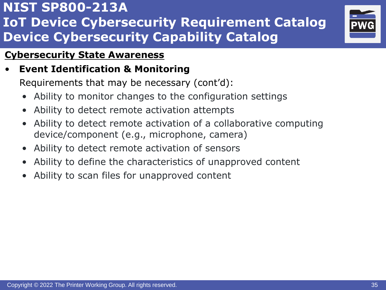

#### **Cybersecurity State Awareness**

### • **Event Identification & Monitoring**

Requirements that may be necessary (cont'd):

- Ability to monitor changes to the configuration settings
- Ability to detect remote activation attempts
- Ability to detect remote activation of a collaborative computing device/component (e.g., microphone, camera)
- Ability to detect remote activation of sensors
- Ability to define the characteristics of unapproved content
- Ability to scan files for unapproved content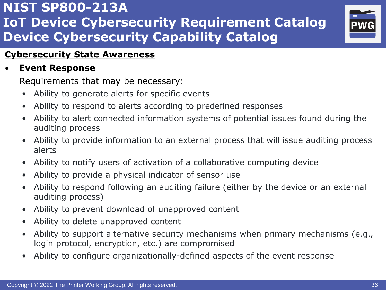

#### **Cybersecurity State Awareness**

#### • **Event Response**

- Ability to generate alerts for specific events
- Ability to respond to alerts according to predefined responses
- Ability to alert connected information systems of potential issues found during the auditing process
- Ability to provide information to an external process that will issue auditing process alerts
- Ability to notify users of activation of a collaborative computing device
- Ability to provide a physical indicator of sensor use
- Ability to respond following an auditing failure (either by the device or an external auditing process)
- Ability to prevent download of unapproved content
- Ability to delete unapproved content
- Ability to support alternative security mechanisms when primary mechanisms (e.g., login protocol, encryption, etc.) are compromised
- Ability to configure organizationally-defined aspects of the event response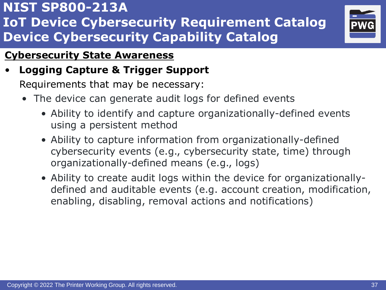

#### **Cybersecurity State Awareness**

# • **Logging Capture & Trigger Support**

- The device can generate audit logs for defined events
	- Ability to identify and capture organizationally-defined events using a persistent method
	- Ability to capture information from organizationally-defined cybersecurity events (e.g., cybersecurity state, time) through organizationally-defined means (e.g., logs)
	- Ability to create audit logs within the device for organizationallydefined and auditable events (e.g. account creation, modification, enabling, disabling, removal actions and notifications)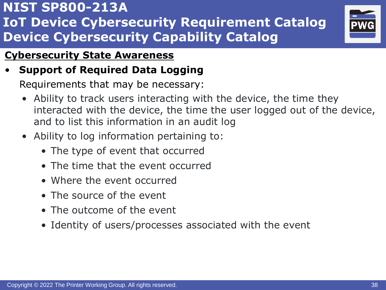

### **Cybersecurity State Awareness**

### • **Support of Required Data Logging**

- Ability to track users interacting with the device, the time they interacted with the device, the time the user logged out of the device, and to list this information in an audit log
- Ability to log information pertaining to:
	- The type of event that occurred
	- The time that the event occurred
	- Where the event occurred
	- The source of the event
	- The outcome of the event
	- Identity of users/processes associated with the event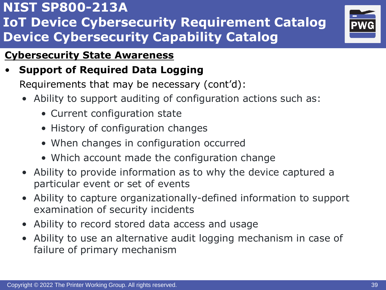

### **Cybersecurity State Awareness**

• **Support of Required Data Logging**

Requirements that may be necessary (cont'd):

- Ability to support auditing of configuration actions such as:
	- Current configuration state
	- History of configuration changes
	- When changes in configuration occurred
	- Which account made the configuration change
- Ability to provide information as to why the device captured a particular event or set of events
- Ability to capture organizationally-defined information to support examination of security incidents
- Ability to record stored data access and usage
- Ability to use an alternative audit logging mechanism in case of failure of primary mechanism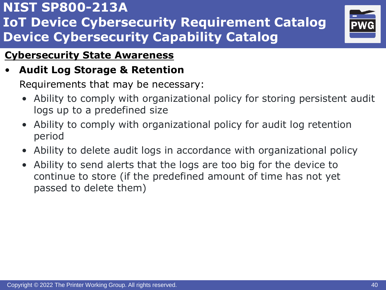

#### **Cybersecurity State Awareness**

### • **Audit Log Storage & Retention**

- Ability to comply with organizational policy for storing persistent audit logs up to a predefined size
- Ability to comply with organizational policy for audit log retention period
- Ability to delete audit logs in accordance with organizational policy
- Ability to send alerts that the logs are too big for the device to continue to store (if the predefined amount of time has not yet passed to delete them)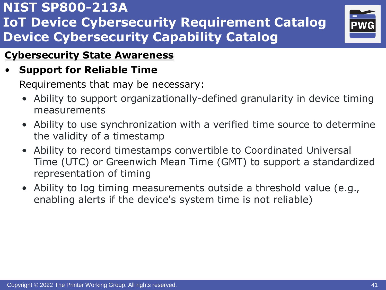

#### **Cybersecurity State Awareness**

### • **Support for Reliable Time**

- Ability to support organizationally-defined granularity in device timing measurements
- Ability to use synchronization with a verified time source to determine the validity of a timestamp
- Ability to record timestamps convertible to Coordinated Universal Time (UTC) or Greenwich Mean Time (GMT) to support a standardized representation of timing
- Ability to log timing measurements outside a threshold value (e.g., enabling alerts if the device's system time is not reliable)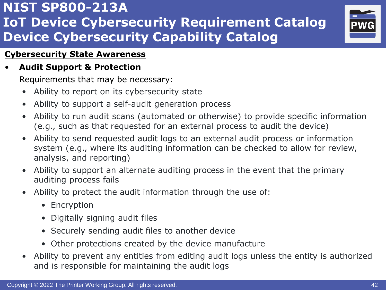

#### **Cybersecurity State Awareness**

• **Audit Support & Protection**

- Ability to report on its cybersecurity state
- Ability to support a self-audit generation process
- Ability to run audit scans (automated or otherwise) to provide specific information (e.g., such as that requested for an external process to audit the device)
- Ability to send requested audit logs to an external audit process or information system (e.g., where its auditing information can be checked to allow for review, analysis, and reporting)
- Ability to support an alternate auditing process in the event that the primary auditing process fails
- Ability to protect the audit information through the use of:
	- Encryption
	- Digitally signing audit files
	- Securely sending audit files to another device
	- Other protections created by the device manufacture
- Ability to prevent any entities from editing audit logs unless the entity is authorized and is responsible for maintaining the audit logs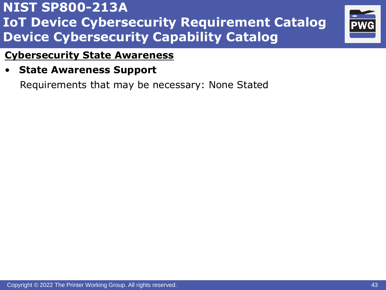

#### **Cybersecurity State Awareness**

• **State Awareness Support**

Requirements that may be necessary: None Stated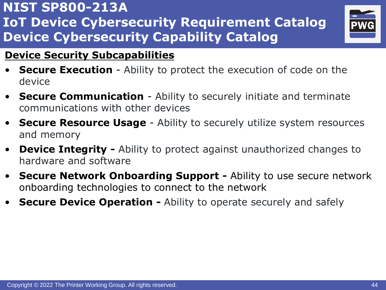

### **Device Security Subcapabilities**

- **Secure Execution** Ability to protect the execution of code on the device
- **Secure Communication** Ability to securely initiate and terminate communications with other devices
- **Secure Resource Usage** Ability to securely utilize system resources and memory
- **Device Integrity -** Ability to protect against unauthorized changes to hardware and software
- **Secure Network Onboarding Support -** Ability to use secure network onboarding technologies to connect to the network
- **Secure Device Operation -** Ability to operate securely and safely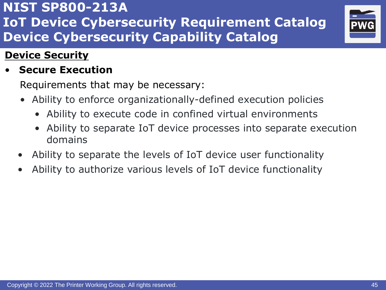

### **Device Security**

### • **Secure Execution**

- Ability to enforce organizationally-defined execution policies
	- Ability to execute code in confined virtual environments
	- Ability to separate IoT device processes into separate execution domains
- Ability to separate the levels of IoT device user functionality
- Ability to authorize various levels of IoT device functionality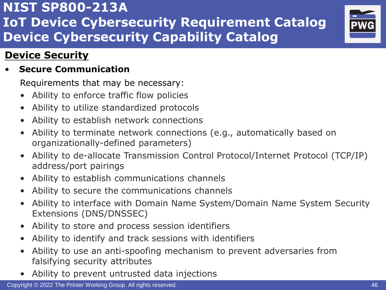

### **Device Security**

#### • **Secure Communication**

- Ability to enforce traffic flow policies
- Ability to utilize standardized protocols
- Ability to establish network connections
- Ability to terminate network connections (e.g., automatically based on organizationally-defined parameters)
- Ability to de-allocate Transmission Control Protocol/Internet Protocol (TCP/IP) address/port pairings
- Ability to establish communications channels
- Ability to secure the communications channels
- Ability to interface with Domain Name System/Domain Name System Security Extensions (DNS/DNSSEC)
- Ability to store and process session identifiers
- Ability to identify and track sessions with identifiers
- Ability to use an anti-spoofing mechanism to prevent adversaries from falsifying security attributes
- Ability to prevent untrusted data injections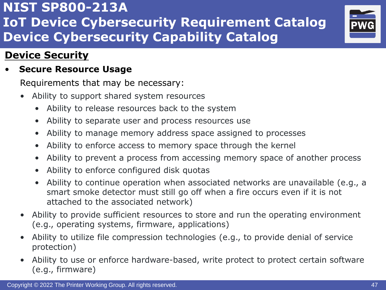

### **Device Security**

#### • **Secure Resource Usage**

- Ability to support shared system resources
	- Ability to release resources back to the system
	- Ability to separate user and process resources use
	- Ability to manage memory address space assigned to processes
	- Ability to enforce access to memory space through the kernel
	- Ability to prevent a process from accessing memory space of another process
	- Ability to enforce configured disk quotas
	- Ability to continue operation when associated networks are unavailable (e.g., a smart smoke detector must still go off when a fire occurs even if it is not attached to the associated network)
- Ability to provide sufficient resources to store and run the operating environment (e.g., operating systems, firmware, applications)
- Ability to utilize file compression technologies (e.g., to provide denial of service protection)
- Ability to use or enforce hardware-based, write protect to protect certain software (e.g., firmware)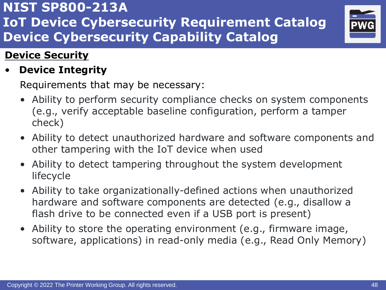

### **Device Security**

• **Device Integrity**

- Ability to perform security compliance checks on system components (e.g., verify acceptable baseline configuration, perform a tamper check)
- Ability to detect unauthorized hardware and software components and other tampering with the IoT device when used
- Ability to detect tampering throughout the system development lifecycle
- Ability to take organizationally-defined actions when unauthorized hardware and software components are detected (e.g., disallow a flash drive to be connected even if a USB port is present)
- Ability to store the operating environment (e.g., firmware image, software, applications) in read-only media (e.g., Read Only Memory)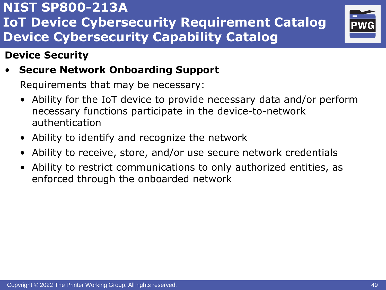

### **Device Security**

• **Secure Network Onboarding Support**

- Ability for the IoT device to provide necessary data and/or perform necessary functions participate in the device-to-network authentication
- Ability to identify and recognize the network
- Ability to receive, store, and/or use secure network credentials
- Ability to restrict communications to only authorized entities, as enforced through the onboarded network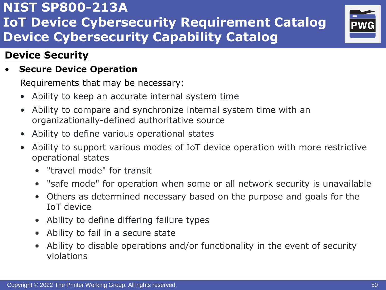

### **Device Security**

#### • **Secure Device Operation**

- Ability to keep an accurate internal system time
- Ability to compare and synchronize internal system time with an organizationally-defined authoritative source
- Ability to define various operational states
- Ability to support various modes of IoT device operation with more restrictive operational states
	- "travel mode" for transit
	- "safe mode" for operation when some or all network security is unavailable
	- Others as determined necessary based on the purpose and goals for the IoT device
	- Ability to define differing failure types
	- Ability to fail in a secure state
	- Ability to disable operations and/or functionality in the event of security violations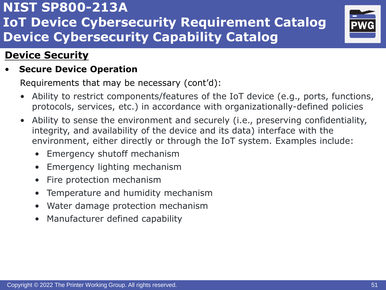

### **Device Security**

#### • **Secure Device Operation**

Requirements that may be necessary (cont'd):

- Ability to restrict components/features of the IoT device (e.g., ports, functions, protocols, services, etc.) in accordance with organizationally-defined policies
- Ability to sense the environment and securely (i.e., preserving confidentiality, integrity, and availability of the device and its data) interface with the environment, either directly or through the IoT system. Examples include:
	- Emergency shutoff mechanism
	- Emergency lighting mechanism
	- Fire protection mechanism
	- Temperature and humidity mechanism
	- Water damage protection mechanism
	- Manufacturer defined capability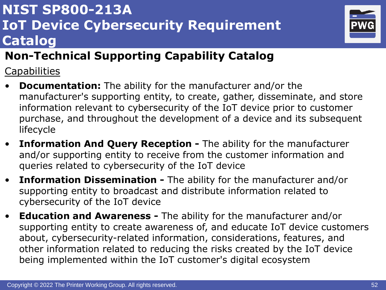# **NIST SP800-213A IoT Device Cybersecurity Requirement Catalog**



# **Non-Technical Supporting Capability Catalog**

**Capabilities** 

- **Documentation:** The ability for the manufacturer and/or the manufacturer's supporting entity, to create, gather, disseminate, and store information relevant to cybersecurity of the IoT device prior to customer purchase, and throughout the development of a device and its subsequent lifecycle
- **Information And Query Reception -** The ability for the manufacturer and/or supporting entity to receive from the customer information and queries related to cybersecurity of the IoT device
- **Information Dissemination -** The ability for the manufacturer and/or supporting entity to broadcast and distribute information related to cybersecurity of the IoT device
- **Education and Awareness -** The ability for the manufacturer and/or supporting entity to create awareness of, and educate IoT device customers about, cybersecurity-related information, considerations, features, and other information related to reducing the risks created by the IoT device being implemented within the IoT customer's digital ecosystem